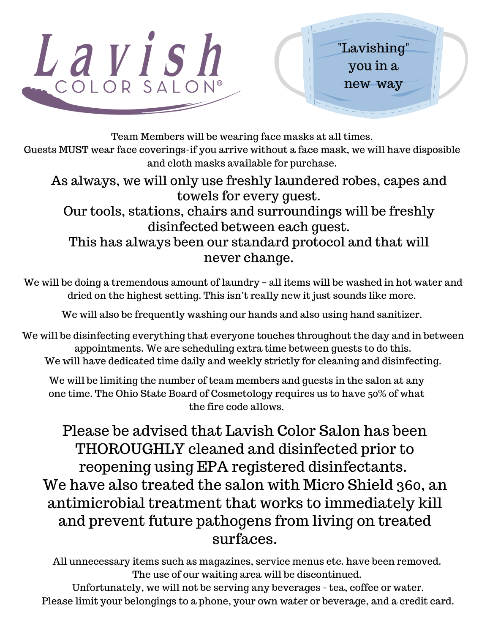

Team Members will be wearing face masks at all times.

Guests MUST wear face coverings-if you arrive without a face mask, we will have disposible and cloth masks available for purchase.

As always, we will only use freshly laundered robes, capes and towels for every guest.

Our tools, stations, chairs and surroundings will be freshly disinfected between each guest.

This has always been our standard protocol and that will never change.

We will be doing a tremendous amount of laundry – all items will be washed in hot water and dried on the highest setting. This isn't really new it just sounds like more.

We will also be frequently washing our hands and also using hand sanitizer.

We will be disinfecting everything that everyone touches throughout the day and in between appointments. We are scheduling extra time between guests to do this. We will have dedicated time daily and weekly strictly for cleaning and disinfecting.

We will be limiting the number of team members and guests in the salon at any one time. The Ohio State Board of Cosmetology requires us to have 50% of what the fire code allows.

Please be advised that Lavish Color Salon has been THOROUGHLY cleaned and disinfected prior to reopening using EPA registered disinfectants. We have also treated the salon with Micro Shield 360, an antimicrobial treatment that works to immediately kill and prevent future pathogens from living on treated surfaces.

All unnecessary items such as magazines, service menus etc. have been removed. The use of our waiting area will be discontinued.

Unfortunately, we will not be serving any beverages - tea, coffee or water. Please limit your belongings to a phone, your own water or beverage, and a credit card.